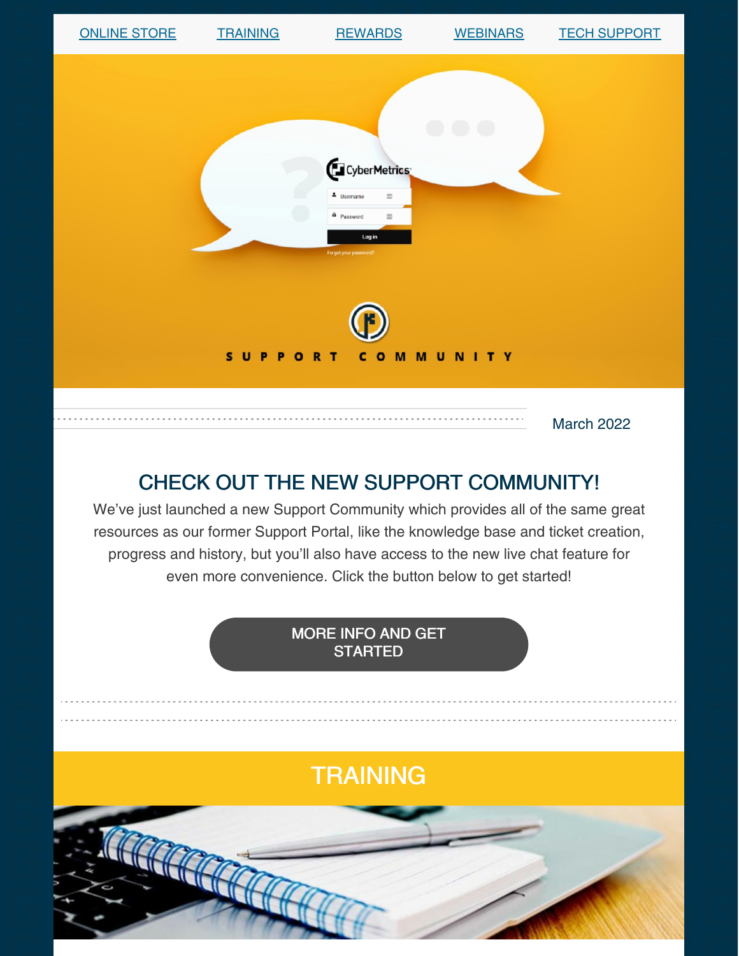| <b>ONLINE STORE</b> | <b>TRAINING</b> | <b>REWARDS</b>                                                                                                            | <b>WEBINARS</b> | <b>TECH SUPPORT</b> |  |
|---------------------|-----------------|---------------------------------------------------------------------------------------------------------------------------|-----------------|---------------------|--|
|                     | SUPPORT         | CyberMetrics<br>4 Username<br>$\equiv$<br>a Password<br>圖<br>Log in<br>Forgot your password?<br>$\mathbf{C}$<br>$\bullet$ | <b>MMUNITY</b>  |                     |  |
|                     |                 |                                                                                                                           |                 | <b>March 2022</b>   |  |

## CHECK OUT THE NEW SUPPORT COMMUNITY!

We've just launched a new Support Community which provides all of the same great resources as our former Support Portal, like the knowledge base and ticket creation, progress and history, but you'll also have access to the new live chat feature for even more convenience. Click the button below to get started!

> MORE INFO AND GET **[STARTED](https://gagetrak.com/support/#community)**

# **TRAINING**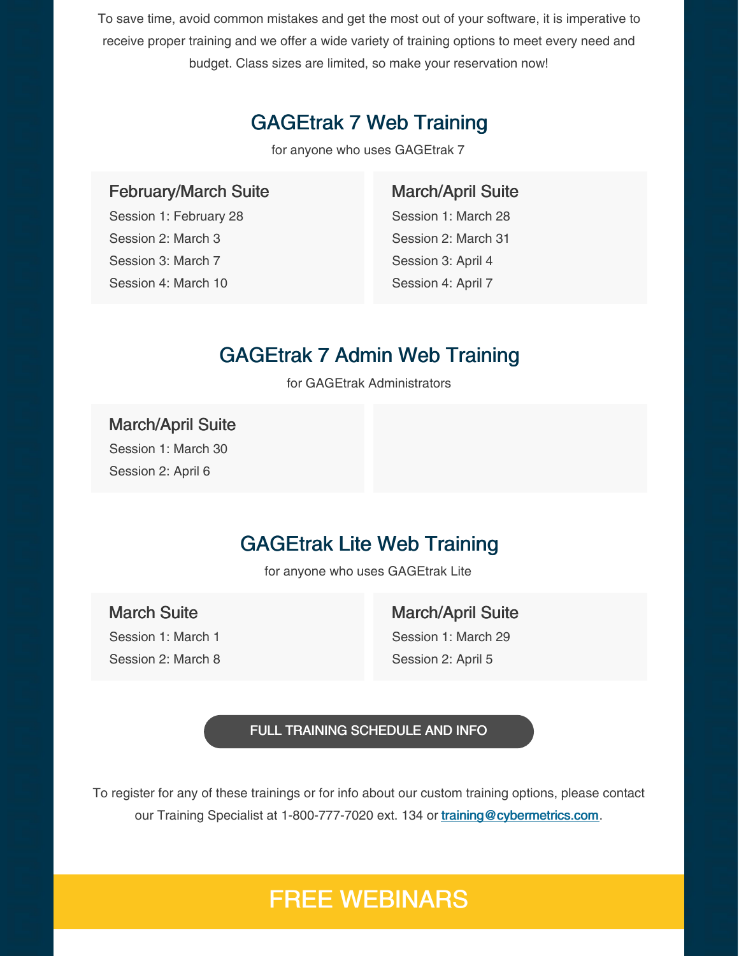To save time, avoid common mistakes and get the most out of your software, it is imperative to receive proper training and we offer a wide variety of training options to meet every need and budget. Class sizes are limited, so make your reservation now!

## GAGEtrak 7 Web Training

for anyone who uses GAGEtrak 7

#### February/March Suite

Session 1: February 28 Session 2: March 3 Session 3: March 7 Session 4: March 10

#### March/April Suite

Session 1: March 28 Session 2: March 31 Session 3: April 4 Session 4: April 7

### GAGEtrak 7 Admin Web Training

for GAGEtrak Administrators

### March/April Suite Session 1: March 30

Session 2: April 6

### GAGEtrak Lite Web Training

for anyone who uses GAGEtrak Lite

### March Suite

Session 1: March 1 Session 2: March 8

#### March/April Suite

Session 1: March 29 Session 2: April 5

#### FULL TRAINING [SCHEDULE](https://gagetrak.com/training-schedule/) AND INFO

To register for any of these trainings or for info about our custom training options, please contact our Training Specialist at 1-800-777-7020 ext. 134 or [training@cybermetrics.com](mailto:training@cybermetrics.com).

## FREE WEBINARS